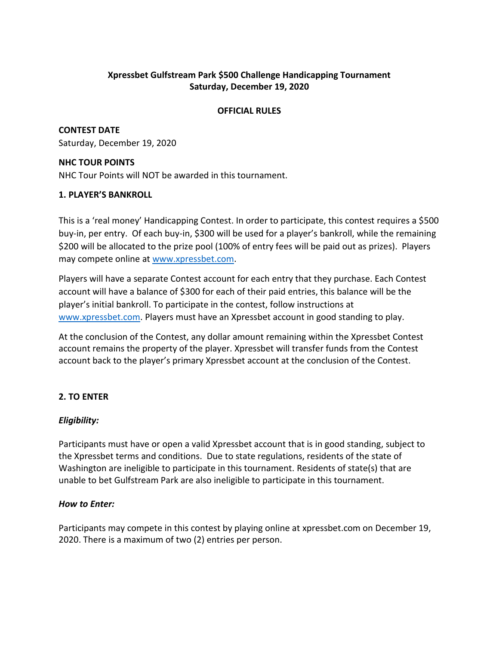# **Xpressbet Gulfstream Park \$500 Challenge Handicapping Tournament Saturday, December 19, 2020**

### **OFFICIAL RULES**

**CONTEST DATE** Saturday, December 19, 2020

### **NHC TOUR POINTS**

NHC Tour Points will NOT be awarded in this tournament.

# **1. PLAYER'S BANKROLL**

This is a 'real money' Handicapping Contest. In order to participate, this contest requires a \$500 buy-in, per entry. Of each buy-in, \$300 will be used for a player's bankroll, while the remaining \$200 will be allocated to the prize pool (100% of entry fees will be paid out as prizes). Players may compete online at [www.xpressbet.com.](http://www.xpressbet.com/)

Players will have a separate Contest account for each entry that they purchase. Each Contest account will have a balance of \$300 for each of their paid entries, this balance will be the player's initial bankroll. To participate in the contest, follow instructions at [www.xpressbet.com.](http://www.xpressbet.com/) Players must have an Xpressbet account in good standing to play.

At the conclusion of the Contest, any dollar amount remaining within the Xpressbet Contest account remains the property of the player. Xpressbet will transfer funds from the Contest account back to the player's primary Xpressbet account at the conclusion of the Contest.

# **2. TO ENTER**

# *Eligibility:*

Participants must have or open a valid Xpressbet account that is in good standing, subject to the Xpressbet terms and conditions. Due to state regulations, residents of the state of Washington are ineligible to participate in this tournament. Residents of state(s) that are unable to bet Gulfstream Park are also ineligible to participate in this tournament.

# *How to Enter:*

Participants may compete in this contest by playing online at xpressbet.com on December 19, 2020. There is a maximum of two (2) entries per person.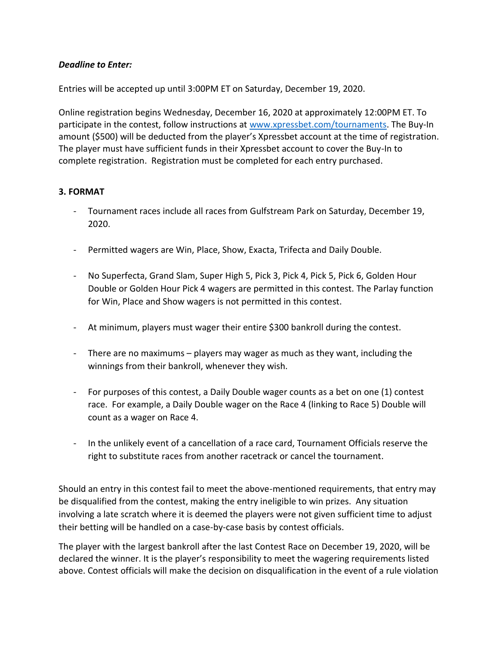### *Deadline to Enter:*

Entries will be accepted up until 3:00PM ET on Saturday, December 19, 2020.

Online registration begins Wednesday, December 16, 2020 at approximately 12:00PM ET. To participate in the contest, follow instructions at [www.xpressbet.com/](http://www.xpressbet.com/)tournaments. The Buy-In amount (\$500) will be deducted from the player's Xpressbet account at the time of registration. The player must have sufficient funds in their Xpressbet account to cover the Buy-In to complete registration. Registration must be completed for each entry purchased.

#### **3. FORMAT**

- Tournament races include all races from Gulfstream Park on Saturday, December 19, 2020.
- Permitted wagers are Win, Place, Show, Exacta, Trifecta and Daily Double.
- No Superfecta, Grand Slam, Super High 5, Pick 3, Pick 4, Pick 5, Pick 6, Golden Hour Double or Golden Hour Pick 4 wagers are permitted in this contest. The Parlay function for Win, Place and Show wagers is not permitted in this contest.
- At minimum, players must wager their entire \$300 bankroll during the contest.
- There are no maximums players may wager as much as they want, including the winnings from their bankroll, whenever they wish.
- For purposes of this contest, a Daily Double wager counts as a bet on one (1) contest race. For example, a Daily Double wager on the Race 4 (linking to Race 5) Double will count as a wager on Race 4.
- In the unlikely event of a cancellation of a race card, Tournament Officials reserve the right to substitute races from another racetrack or cancel the tournament.

Should an entry in this contest fail to meet the above-mentioned requirements, that entry may be disqualified from the contest, making the entry ineligible to win prizes. Any situation involving a late scratch where it is deemed the players were not given sufficient time to adjust their betting will be handled on a case-by-case basis by contest officials.

The player with the largest bankroll after the last Contest Race on December 19, 2020, will be declared the winner. It is the player's responsibility to meet the wagering requirements listed above. Contest officials will make the decision on disqualification in the event of a rule violation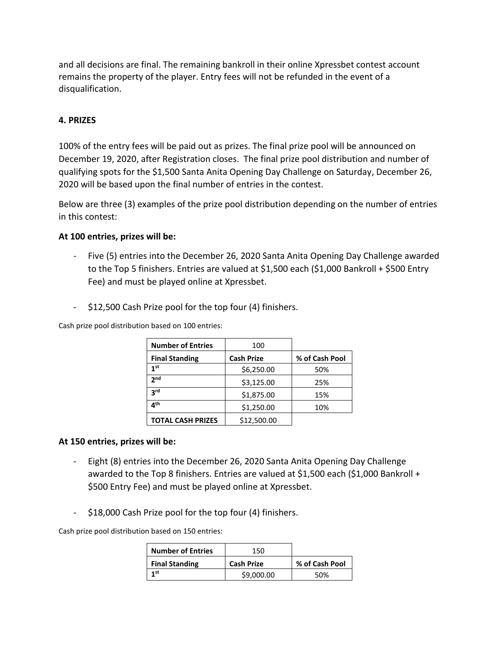and all decisions are final. The remaining bankroll in their online Xpressbet contest account remains the property of the player. Entry fees will not be refunded in the event of a disqualification.

# **4. PRIZES**

100% of the entry fees will be paid out as prizes. The final prize pool will be announced on December 19, 2020, after Registration closes. The final prize pool distribution and number of qualifying spots for the \$1,500 Santa Anita Opening Day Challenge on Saturday, December 26, 2020 will be based upon the final number of entries in the contest.

Below are three (3) examples of the prize pool distribution depending on the number of entries in this contest:

#### **At 100 entries, prizes will be:**

- Five (5) entries into the December 26, 2020 Santa Anita Opening Day Challenge awarded to the Top 5 finishers. Entries are valued at \$1,500 each (\$1,000 Bankroll + \$500 Entry Fee) and must be played online at Xpressbet.
- \$12,500 Cash Prize pool for the top four (4) finishers.

Cash prize pool distribution based on 100 entries:

| <b>Number of Entries</b> | 100               |                |
|--------------------------|-------------------|----------------|
| <b>Final Standing</b>    | <b>Cash Prize</b> | % of Cash Pool |
| 1 <sup>st</sup>          | \$6,250.00        | 50%            |
| 2 <sub>nd</sub>          | \$3,125.00        | 25%            |
| <b>a</b> rd              | \$1,875.00        | 15%            |
| ⊿th                      | \$1,250.00        | 10%            |
| <b>TOTAL CASH PRIZES</b> | \$12,500.00       |                |

#### **At 150 entries, prizes will be:**

- Eight (8) entries into the December 26, 2020 Santa Anita Opening Day Challenge awarded to the Top 8 finishers. Entries are valued at \$1,500 each (\$1,000 Bankroll + \$500 Entry Fee) and must be played online at Xpressbet.
- \$18,000 Cash Prize pool for the top four (4) finishers.

Cash prize pool distribution based on 150 entries:

| <b>Number of Entries</b> | 150               |                |
|--------------------------|-------------------|----------------|
| <b>Final Standing</b>    | <b>Cash Prize</b> | % of Cash Pool |
| 1 <sub>st</sub>          | \$9,000.00        | 50%            |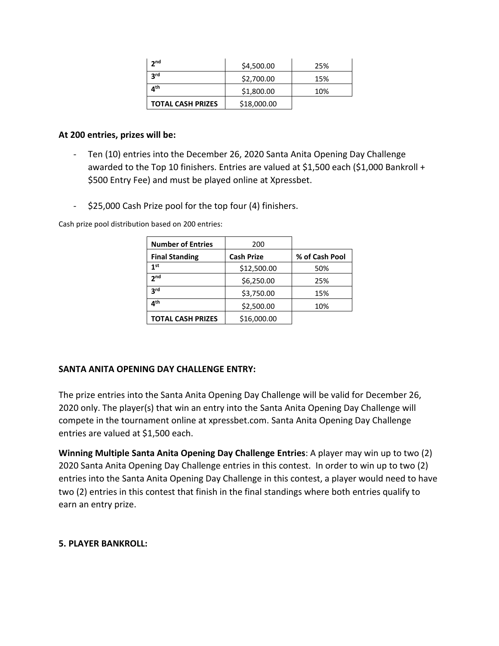| 2 <sub>nd</sub>          | \$4,500.00  | 25% |
|--------------------------|-------------|-----|
| 3 <sup>rd</sup>          | \$2,700.00  | 15% |
| ⊿ <sup>th</sup>          | \$1,800.00  | 10% |
| <b>TOTAL CASH PRIZES</b> | \$18,000.00 |     |

#### **At 200 entries, prizes will be:**

- Ten (10) entries into the December 26, 2020 Santa Anita Opening Day Challenge awarded to the Top 10 finishers. Entries are valued at \$1,500 each (\$1,000 Bankroll + \$500 Entry Fee) and must be played online at Xpressbet.
- \$25,000 Cash Prize pool for the top four (4) finishers.

Cash prize pool distribution based on 200 entries:

| <b>Number of Entries</b> | 200               |                |
|--------------------------|-------------------|----------------|
| <b>Final Standing</b>    | <b>Cash Prize</b> | % of Cash Pool |
| 1 <sup>st</sup>          | \$12,500.00       | 50%            |
| 2 <sub>nd</sub>          | \$6,250.00        | 25%            |
| <b>a</b> rd              | \$3,750.00        | 15%            |
| ⊿th                      | \$2,500.00        | 10%            |
| <b>TOTAL CASH PRIZES</b> | \$16,000.00       |                |

#### **SANTA ANITA OPENING DAY CHALLENGE ENTRY:**

The prize entries into the Santa Anita Opening Day Challenge will be valid for December 26, 2020 only. The player(s) that win an entry into the Santa Anita Opening Day Challenge will compete in the tournament online at xpressbet.com. Santa Anita Opening Day Challenge entries are valued at \$1,500 each.

**Winning Multiple Santa Anita Opening Day Challenge Entries**: A player may win up to two (2) 2020 Santa Anita Opening Day Challenge entries in this contest. In order to win up to two (2) entries into the Santa Anita Opening Day Challenge in this contest, a player would need to have two (2) entries in this contest that finish in the final standings where both entries qualify to earn an entry prize.

#### **5. PLAYER BANKROLL:**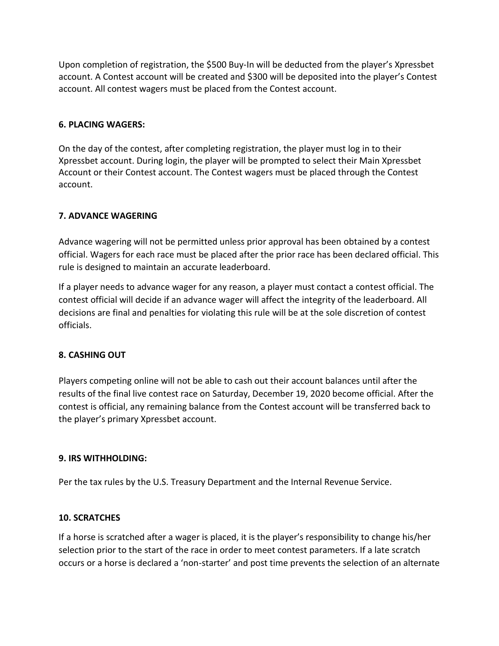Upon completion of registration, the \$500 Buy-In will be deducted from the player's Xpressbet account. A Contest account will be created and \$300 will be deposited into the player's Contest account. All contest wagers must be placed from the Contest account.

#### **6. PLACING WAGERS:**

On the day of the contest, after completing registration, the player must log in to their Xpressbet account. During login, the player will be prompted to select their Main Xpressbet Account or their Contest account. The Contest wagers must be placed through the Contest account.

# **7. ADVANCE WAGERING**

Advance wagering will not be permitted unless prior approval has been obtained by a contest official. Wagers for each race must be placed after the prior race has been declared official. This rule is designed to maintain an accurate leaderboard.

If a player needs to advance wager for any reason, a player must contact a contest official. The contest official will decide if an advance wager will affect the integrity of the leaderboard. All decisions are final and penalties for violating this rule will be at the sole discretion of contest officials.

# **8. CASHING OUT**

Players competing online will not be able to cash out their account balances until after the results of the final live contest race on Saturday, December 19, 2020 become official. After the contest is official, any remaining balance from the Contest account will be transferred back to the player's primary Xpressbet account.

# **9. IRS WITHHOLDING:**

Per the tax rules by the U.S. Treasury Department and the Internal Revenue Service.

# **10. SCRATCHES**

If a horse is scratched after a wager is placed, it is the player's responsibility to change his/her selection prior to the start of the race in order to meet contest parameters. If a late scratch occurs or a horse is declared a 'non-starter' and post time prevents the selection of an alternate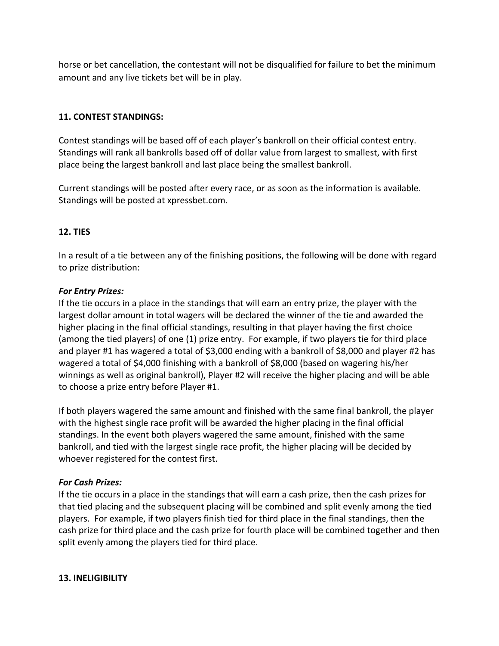horse or bet cancellation, the contestant will not be disqualified for failure to bet the minimum amount and any live tickets bet will be in play.

### **11. CONTEST STANDINGS:**

Contest standings will be based off of each player's bankroll on their official contest entry. Standings will rank all bankrolls based off of dollar value from largest to smallest, with first place being the largest bankroll and last place being the smallest bankroll.

Current standings will be posted after every race, or as soon as the information is available. Standings will be posted at xpressbet.com.

#### **12. TIES**

In a result of a tie between any of the finishing positions, the following will be done with regard to prize distribution:

#### *For Entry Prizes:*

If the tie occurs in a place in the standings that will earn an entry prize, the player with the largest dollar amount in total wagers will be declared the winner of the tie and awarded the higher placing in the final official standings, resulting in that player having the first choice (among the tied players) of one (1) prize entry. For example, if two players tie for third place and player #1 has wagered a total of \$3,000 ending with a bankroll of \$8,000 and player #2 has wagered a total of \$4,000 finishing with a bankroll of \$8,000 (based on wagering his/her winnings as well as original bankroll), Player #2 will receive the higher placing and will be able to choose a prize entry before Player #1.

If both players wagered the same amount and finished with the same final bankroll, the player with the highest single race profit will be awarded the higher placing in the final official standings. In the event both players wagered the same amount, finished with the same bankroll, and tied with the largest single race profit, the higher placing will be decided by whoever registered for the contest first.

# *For Cash Prizes:*

If the tie occurs in a place in the standings that will earn a cash prize, then the cash prizes for that tied placing and the subsequent placing will be combined and split evenly among the tied players. For example, if two players finish tied for third place in the final standings, then the cash prize for third place and the cash prize for fourth place will be combined together and then split evenly among the players tied for third place.

#### **13. INELIGIBILITY**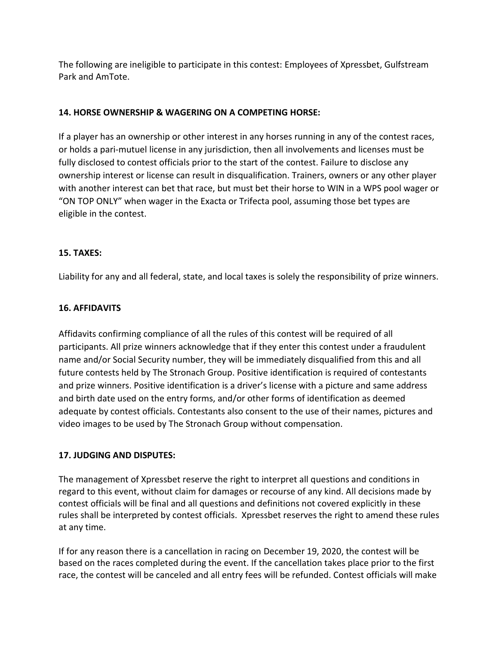The following are ineligible to participate in this contest: Employees of Xpressbet, Gulfstream Park and AmTote.

# **14. HORSE OWNERSHIP & WAGERING ON A COMPETING HORSE:**

If a player has an ownership or other interest in any horses running in any of the contest races, or holds a pari-mutuel license in any jurisdiction, then all involvements and licenses must be fully disclosed to contest officials prior to the start of the contest. Failure to disclose any ownership interest or license can result in disqualification. Trainers, owners or any other player with another interest can bet that race, but must bet their horse to WIN in a WPS pool wager or "ON TOP ONLY" when wager in the Exacta or Trifecta pool, assuming those bet types are eligible in the contest.

# **15. TAXES:**

Liability for any and all federal, state, and local taxes is solely the responsibility of prize winners.

### **16. AFFIDAVITS**

Affidavits confirming compliance of all the rules of this contest will be required of all participants. All prize winners acknowledge that if they enter this contest under a fraudulent name and/or Social Security number, they will be immediately disqualified from this and all future contests held by The Stronach Group. Positive identification is required of contestants and prize winners. Positive identification is a driver's license with a picture and same address and birth date used on the entry forms, and/or other forms of identification as deemed adequate by contest officials. Contestants also consent to the use of their names, pictures and video images to be used by The Stronach Group without compensation.

# **17. JUDGING AND DISPUTES:**

The management of Xpressbet reserve the right to interpret all questions and conditions in regard to this event, without claim for damages or recourse of any kind. All decisions made by contest officials will be final and all questions and definitions not covered explicitly in these rules shall be interpreted by contest officials. Xpressbet reserves the right to amend these rules at any time.

If for any reason there is a cancellation in racing on December 19, 2020, the contest will be based on the races completed during the event. If the cancellation takes place prior to the first race, the contest will be canceled and all entry fees will be refunded. Contest officials will make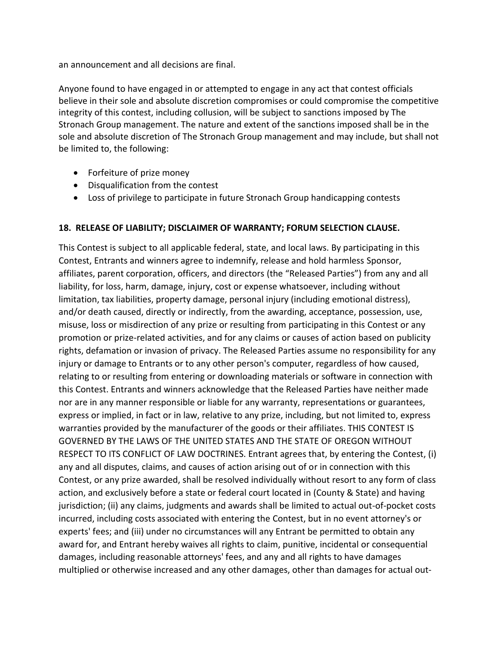an announcement and all decisions are final.

Anyone found to have engaged in or attempted to engage in any act that contest officials believe in their sole and absolute discretion compromises or could compromise the competitive integrity of this contest, including collusion, will be subject to sanctions imposed by The Stronach Group management. The nature and extent of the sanctions imposed shall be in the sole and absolute discretion of The Stronach Group management and may include, but shall not be limited to, the following:

- Forfeiture of prize money
- Disqualification from the contest
- Loss of privilege to participate in future Stronach Group handicapping contests

# **18. RELEASE OF LIABILITY; DISCLAIMER OF WARRANTY; FORUM SELECTION CLAUSE.**

This Contest is subject to all applicable federal, state, and local laws. By participating in this Contest, Entrants and winners agree to indemnify, release and hold harmless Sponsor, affiliates, parent corporation, officers, and directors (the "Released Parties") from any and all liability, for loss, harm, damage, injury, cost or expense whatsoever, including without limitation, tax liabilities, property damage, personal injury (including emotional distress), and/or death caused, directly or indirectly, from the awarding, acceptance, possession, use, misuse, loss or misdirection of any prize or resulting from participating in this Contest or any promotion or prize-related activities, and for any claims or causes of action based on publicity rights, defamation or invasion of privacy. The Released Parties assume no responsibility for any injury or damage to Entrants or to any other person's computer, regardless of how caused, relating to or resulting from entering or downloading materials or software in connection with this Contest. Entrants and winners acknowledge that the Released Parties have neither made nor are in any manner responsible or liable for any warranty, representations or guarantees, express or implied, in fact or in law, relative to any prize, including, but not limited to, express warranties provided by the manufacturer of the goods or their affiliates. THIS CONTEST IS GOVERNED BY THE LAWS OF THE UNITED STATES AND THE STATE OF OREGON WITHOUT RESPECT TO ITS CONFLICT OF LAW DOCTRINES. Entrant agrees that, by entering the Contest, (i) any and all disputes, claims, and causes of action arising out of or in connection with this Contest, or any prize awarded, shall be resolved individually without resort to any form of class action, and exclusively before a state or federal court located in (County & State) and having jurisdiction; (ii) any claims, judgments and awards shall be limited to actual out-of-pocket costs incurred, including costs associated with entering the Contest, but in no event attorney's or experts' fees; and (iii) under no circumstances will any Entrant be permitted to obtain any award for, and Entrant hereby waives all rights to claim, punitive, incidental or consequential damages, including reasonable attorneys' fees, and any and all rights to have damages multiplied or otherwise increased and any other damages, other than damages for actual out